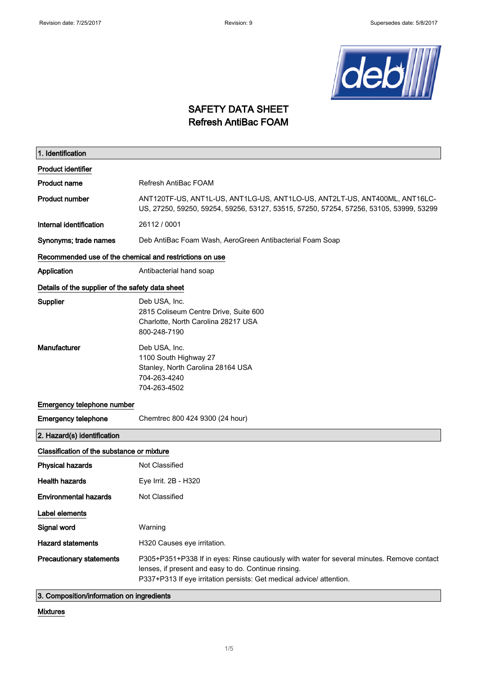

#### SAFETY DATA SHEET Refresh AntiBac FOAM

| 1. Identification                                       |                                                                                                                                                                                                                            |  |
|---------------------------------------------------------|----------------------------------------------------------------------------------------------------------------------------------------------------------------------------------------------------------------------------|--|
| <b>Product identifier</b>                               |                                                                                                                                                                                                                            |  |
| <b>Product name</b>                                     | Refresh AntiBac FOAM                                                                                                                                                                                                       |  |
| <b>Product number</b>                                   | ANT120TF-US, ANT1L-US, ANT1LG-US, ANT1LO-US, ANT2LT-US, ANT400ML, ANT16LC-<br>US, 27250, 59250, 59254, 59256, 53127, 53515, 57250, 57254, 57256, 53105, 53999, 53299                                                       |  |
| Internal identification                                 | 26112 / 0001                                                                                                                                                                                                               |  |
| Synonyms; trade names                                   | Deb AntiBac Foam Wash, AeroGreen Antibacterial Foam Soap                                                                                                                                                                   |  |
| Recommended use of the chemical and restrictions on use |                                                                                                                                                                                                                            |  |
| Application                                             | Antibacterial hand soap                                                                                                                                                                                                    |  |
| Details of the supplier of the safety data sheet        |                                                                                                                                                                                                                            |  |
| Supplier                                                | Deb USA, Inc.<br>2815 Coliseum Centre Drive, Suite 600<br>Charlotte, North Carolina 28217 USA<br>800-248-7190                                                                                                              |  |
| Manufacturer                                            | Deb USA, Inc.<br>1100 South Highway 27<br>Stanley, North Carolina 28164 USA<br>704-263-4240<br>704-263-4502                                                                                                                |  |
| Emergency telephone number                              |                                                                                                                                                                                                                            |  |
| <b>Emergency telephone</b>                              | Chemtrec 800 424 9300 (24 hour)                                                                                                                                                                                            |  |
| 2. Hazard(s) identification                             |                                                                                                                                                                                                                            |  |
| Classification of the substance or mixture              |                                                                                                                                                                                                                            |  |
| <b>Physical hazards</b>                                 | Not Classified                                                                                                                                                                                                             |  |
| <b>Health hazards</b>                                   | Eye Irrit. 2B - H320                                                                                                                                                                                                       |  |
| <b>Environmental hazards</b>                            | Not Classified                                                                                                                                                                                                             |  |
| Label elements                                          |                                                                                                                                                                                                                            |  |
| Signal word                                             | Warning                                                                                                                                                                                                                    |  |
| <b>Hazard statements</b>                                | H320 Causes eye irritation.                                                                                                                                                                                                |  |
| <b>Precautionary statements</b>                         | P305+P351+P338 If in eyes: Rinse cautiously with water for several minutes. Remove contact<br>lenses, if present and easy to do. Continue rinsing.<br>P337+P313 If eye irritation persists: Get medical advice/ attention. |  |

3. Composition/information on ingredients

Mixtures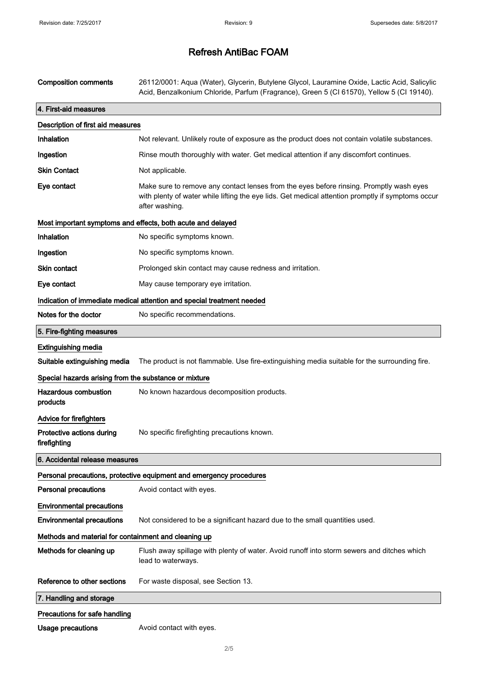| <b>Composition comments</b>                                            | 26112/0001: Aqua (Water), Glycerin, Butylene Glycol, Lauramine Oxide, Lactic Acid, Salicylic<br>Acid, Benzalkonium Chloride, Parfum (Fragrance), Green 5 (CI 61570), Yellow 5 (CI 19140).                      |  |
|------------------------------------------------------------------------|----------------------------------------------------------------------------------------------------------------------------------------------------------------------------------------------------------------|--|
| 4. First-aid measures                                                  |                                                                                                                                                                                                                |  |
| Description of first aid measures                                      |                                                                                                                                                                                                                |  |
| Inhalation                                                             | Not relevant. Unlikely route of exposure as the product does not contain volatile substances.                                                                                                                  |  |
| Ingestion                                                              | Rinse mouth thoroughly with water. Get medical attention if any discomfort continues.                                                                                                                          |  |
| <b>Skin Contact</b>                                                    | Not applicable.                                                                                                                                                                                                |  |
| Eye contact                                                            | Make sure to remove any contact lenses from the eyes before rinsing. Promptly wash eyes<br>with plenty of water while lifting the eye lids. Get medical attention promptly if symptoms occur<br>after washing. |  |
|                                                                        | Most important symptoms and effects, both acute and delayed                                                                                                                                                    |  |
| Inhalation                                                             | No specific symptoms known.                                                                                                                                                                                    |  |
| Ingestion                                                              | No specific symptoms known.                                                                                                                                                                                    |  |
| Skin contact                                                           | Prolonged skin contact may cause redness and irritation.                                                                                                                                                       |  |
| Eye contact                                                            | May cause temporary eye irritation.                                                                                                                                                                            |  |
| Indication of immediate medical attention and special treatment needed |                                                                                                                                                                                                                |  |
| Notes for the doctor                                                   | No specific recommendations.                                                                                                                                                                                   |  |
| 5. Fire-fighting measures                                              |                                                                                                                                                                                                                |  |
| <b>Extinguishing media</b>                                             |                                                                                                                                                                                                                |  |
| Suitable extinguishing media                                           | The product is not flammable. Use fire-extinguishing media suitable for the surrounding fire.                                                                                                                  |  |
| Special hazards arising from the substance or mixture                  |                                                                                                                                                                                                                |  |
| <b>Hazardous combustion</b><br>products                                | No known hazardous decomposition products.                                                                                                                                                                     |  |
| <b>Advice for firefighters</b>                                         |                                                                                                                                                                                                                |  |
| Protective actions during<br>firefighting                              | No specific firefighting precautions known.                                                                                                                                                                    |  |
| 6. Accidental release measures                                         |                                                                                                                                                                                                                |  |
|                                                                        | Personal precautions, protective equipment and emergency procedures                                                                                                                                            |  |
| <b>Personal precautions</b>                                            | Avoid contact with eyes.                                                                                                                                                                                       |  |
| <b>Environmental precautions</b>                                       |                                                                                                                                                                                                                |  |
| <b>Environmental precautions</b>                                       | Not considered to be a significant hazard due to the small quantities used.                                                                                                                                    |  |
| Methods and material for containment and cleaning up                   |                                                                                                                                                                                                                |  |
| Methods for cleaning up                                                | Flush away spillage with plenty of water. Avoid runoff into storm sewers and ditches which<br>lead to waterways.                                                                                               |  |
| Reference to other sections                                            | For waste disposal, see Section 13.                                                                                                                                                                            |  |
| 7. Handling and storage                                                |                                                                                                                                                                                                                |  |
| Precautions for safe handling                                          |                                                                                                                                                                                                                |  |
| <b>Usage precautions</b>                                               | Avoid contact with eyes.                                                                                                                                                                                       |  |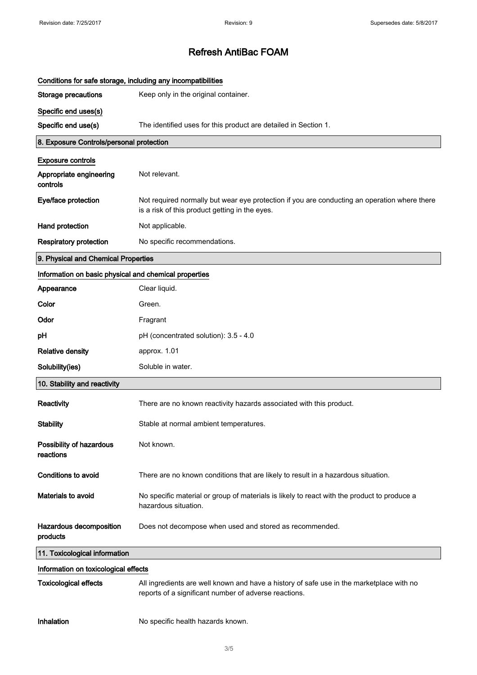| Conditions for safe storage, including any incompatibilities |                                                                                                                                                   |
|--------------------------------------------------------------|---------------------------------------------------------------------------------------------------------------------------------------------------|
| <b>Storage precautions</b>                                   | Keep only in the original container.                                                                                                              |
| Specific end uses(s)                                         |                                                                                                                                                   |
| Specific end use(s)                                          | The identified uses for this product are detailed in Section 1.                                                                                   |
| 8. Exposure Controls/personal protection                     |                                                                                                                                                   |
| <b>Exposure controls</b>                                     |                                                                                                                                                   |
| Appropriate engineering<br>controls                          | Not relevant.                                                                                                                                     |
| Eye/face protection                                          | Not required normally but wear eye protection if you are conducting an operation where there<br>is a risk of this product getting in the eyes.    |
| Hand protection                                              | Not applicable.                                                                                                                                   |
| <b>Respiratory protection</b>                                | No specific recommendations.                                                                                                                      |
| 9. Physical and Chemical Properties                          |                                                                                                                                                   |
| Information on basic physical and chemical properties        |                                                                                                                                                   |
| Appearance                                                   | Clear liquid.                                                                                                                                     |
| Color                                                        | Green.                                                                                                                                            |
| Odor                                                         | Fragrant                                                                                                                                          |
| рH                                                           | pH (concentrated solution): 3.5 - 4.0                                                                                                             |
| <b>Relative density</b>                                      | approx. 1.01                                                                                                                                      |
| Solubility(ies)                                              | Soluble in water.                                                                                                                                 |
| 10. Stability and reactivity                                 |                                                                                                                                                   |
| Reactivity                                                   | There are no known reactivity hazards associated with this product.                                                                               |
| <b>Stability</b>                                             | Stable at normal ambient temperatures.                                                                                                            |
| Possibility of hazardous<br>reactions                        | Not known.                                                                                                                                        |
| <b>Conditions to avoid</b>                                   | There are no known conditions that are likely to result in a hazardous situation.                                                                 |
| <b>Materials to avoid</b>                                    | No specific material or group of materials is likely to react with the product to produce a<br>hazardous situation.                               |
| Hazardous decomposition<br>products                          | Does not decompose when used and stored as recommended.                                                                                           |
| 11. Toxicological information                                |                                                                                                                                                   |
| Information on toxicological effects                         |                                                                                                                                                   |
| <b>Toxicological effects</b>                                 | All ingredients are well known and have a history of safe use in the marketplace with no<br>reports of a significant number of adverse reactions. |
| Inhalation                                                   | No specific health hazards known.                                                                                                                 |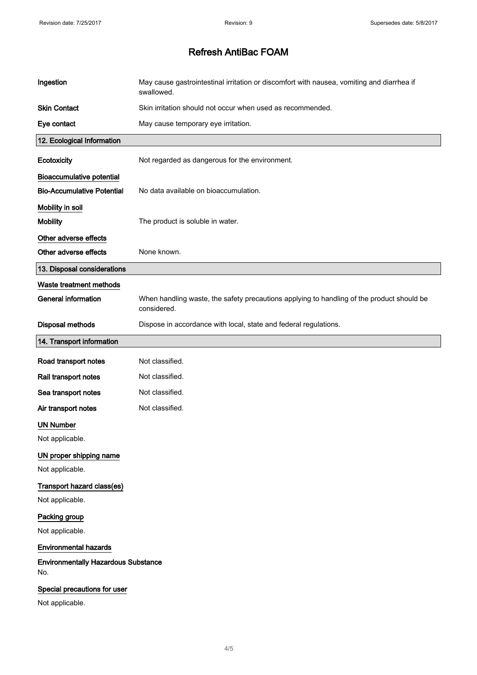| Ingestion                                         | May cause gastrointestinal irritation or discomfort with nausea, vomiting and diarrhea if<br>swallowed.  |
|---------------------------------------------------|----------------------------------------------------------------------------------------------------------|
| <b>Skin Contact</b>                               | Skin irritation should not occur when used as recommended.                                               |
| Eye contact                                       | May cause temporary eye irritation.                                                                      |
| 12. Ecological Information                        |                                                                                                          |
| Ecotoxicity                                       | Not regarded as dangerous for the environment.                                                           |
| <b>Bioaccumulative potential</b>                  |                                                                                                          |
| <b>Bio-Accumulative Potential</b>                 | No data available on bioaccumulation.                                                                    |
| Mobility in soil                                  |                                                                                                          |
| <b>Mobility</b>                                   | The product is soluble in water.                                                                         |
| Other adverse effects                             |                                                                                                          |
| Other adverse effects                             | None known.                                                                                              |
| 13. Disposal considerations                       |                                                                                                          |
| Waste treatment methods                           |                                                                                                          |
| <b>General information</b>                        | When handling waste, the safety precautions applying to handling of the product should be<br>considered. |
| <b>Disposal methods</b>                           | Dispose in accordance with local, state and federal regulations.                                         |
| 14. Transport information                         |                                                                                                          |
| Road transport notes                              | Not classified.                                                                                          |
| Rail transport notes                              | Not classified.                                                                                          |
| Sea transport notes                               | Not classified.                                                                                          |
| Air transport notes                               | Not classified.                                                                                          |
| <b>UN Number</b>                                  |                                                                                                          |
| Not applicable.                                   |                                                                                                          |
| UN proper shipping name                           |                                                                                                          |
| Not applicable.                                   |                                                                                                          |
| Transport hazard class(es)                        |                                                                                                          |
| Not applicable.                                   |                                                                                                          |
| Packing group                                     |                                                                                                          |
| Not applicable.                                   |                                                                                                          |
| <b>Environmental hazards</b>                      |                                                                                                          |
| <b>Environmentally Hazardous Substance</b><br>No. |                                                                                                          |
| Special precautions for user                      |                                                                                                          |
| Not applicable.                                   |                                                                                                          |